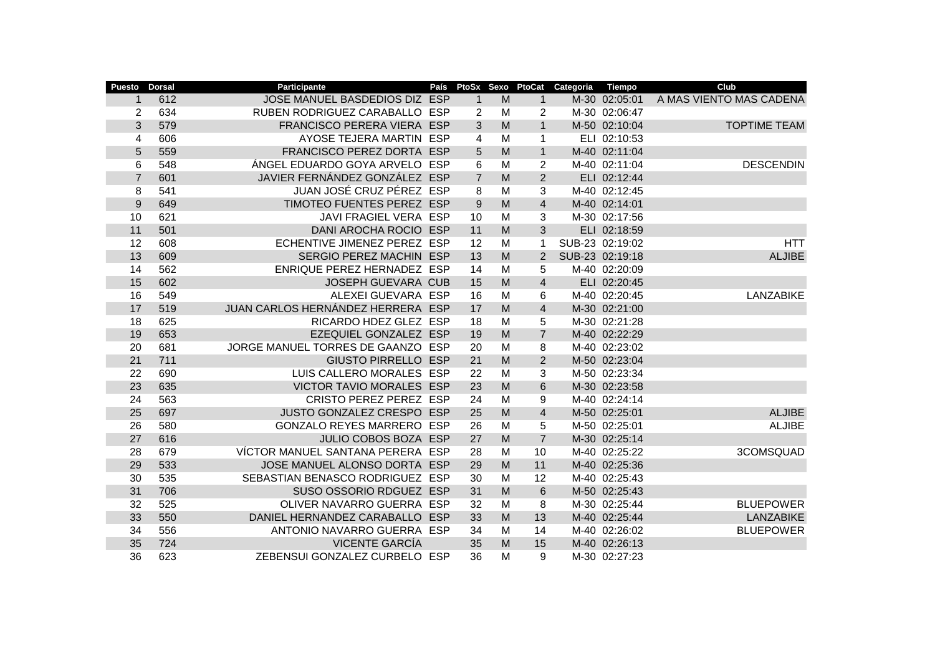| <b>Puesto</b>  | <b>Dorsal</b> | Participante                      | País | PtoSx          | Sexo | PtoCat         | Categoria | <b>Tiempo</b>   | Club                    |
|----------------|---------------|-----------------------------------|------|----------------|------|----------------|-----------|-----------------|-------------------------|
| 1              | 612           | JOSE MANUEL BASDEDIOS DIZ ESP     |      | $\mathbf 1$    | M    | 1              |           | M-30 02:05:01   | A MAS VIENTO MAS CADENA |
| $\overline{2}$ | 634           | RUBEN RODRIGUEZ CARABALLO ESP     |      | 2              | M    | $\overline{c}$ |           | M-30 02:06:47   |                         |
| 3              | 579           | FRANCISCO PERERA VIERA ESP        |      | 3              | M    | $\mathbf{1}$   |           | M-50 02:10:04   | <b>TOPTIME TEAM</b>     |
| $\overline{4}$ | 606           | AYOSE TEJERA MARTIN ESP           |      | 4              | M    | 1              |           | ELI 02:10:53    |                         |
| 5              | 559           | FRANCISCO PEREZ DORTA ESP         |      | 5              | M    | $\mathbf{1}$   |           | M-40 02:11:04   |                         |
| 6              | 548           | ÁNGEL EDUARDO GOYA ARVELO ESP     |      | 6              | M    | $\overline{2}$ |           | M-40 02:11:04   | <b>DESCENDIN</b>        |
| $\overline{7}$ | 601           | JAVIER FERNÁNDEZ GONZÁLEZ ESP     |      | $\overline{7}$ | M    | $\overline{2}$ |           | ELI 02:12:44    |                         |
| 8              | 541           | JUAN JOSÉ CRUZ PÉREZ ESP          |      | 8              | M    | 3              |           | M-40 02:12:45   |                         |
| 9              | 649           | TIMOTEO FUENTES PEREZ ESP         |      | 9              | M    | $\overline{4}$ |           | M-40 02:14:01   |                         |
| 10             | 621           | JAVI FRAGIEL VERA ESP             |      | 10             | M    | 3              |           | M-30 02:17:56   |                         |
| 11             | 501           | DANI AROCHA ROCIO ESP             |      | 11             | M    | 3              |           | ELI 02:18:59    |                         |
| 12             | 608           | ECHENTIVE JIMENEZ PEREZ ESP       |      | 12             | M    | 1              |           | SUB-23 02:19:02 | <b>HTT</b>              |
| 13             | 609           | SERGIO PEREZ MACHIN ESP           |      | 13             | M    | 2              |           | SUB-23 02:19:18 | <b>ALJIBE</b>           |
| 14             | 562           | ENRIQUE PEREZ HERNADEZ ESP        |      | 14             | M    | 5              |           | M-40 02:20:09   |                         |
| 15             | 602           | JOSEPH GUEVARA CUB                |      | 15             | M    | $\overline{4}$ |           | ELI 02:20:45    |                         |
| 16             | 549           | ALEXEI GUEVARA ESP                |      | 16             | M    | 6              |           | M-40 02:20:45   | <b>LANZABIKE</b>        |
| 17             | 519           | JUAN CARLOS HERNÁNDEZ HERRERA ESP |      | 17             | M    | $\overline{4}$ |           | M-30 02:21:00   |                         |
| 18             | 625           | RICARDO HDEZ GLEZ ESP             |      | 18             | M    | 5              |           | M-30 02:21:28   |                         |
| 19             | 653           | EZEQUIEL GONZALEZ ESP             |      | 19             | M    | $\overline{7}$ |           | M-40 02:22:29   |                         |
| 20             | 681           | JORGE MANUEL TORRES DE GAANZO ESP |      | 20             | M    | 8              |           | M-40 02:23:02   |                         |
| 21             | 711           | <b>GIUSTO PIRRELLO ESP</b>        |      | 21             | M    | $\overline{2}$ |           | M-50 02:23:04   |                         |
| 22             | 690           | LUIS CALLERO MORALES ESP          |      | 22             | M    | 3              |           | M-50 02:23:34   |                         |
| 23             | 635           | VICTOR TAVIO MORALES ESP          |      | 23             | M    | 6              |           | M-30 02:23:58   |                         |
| 24             | 563           | CRISTO PEREZ PEREZ ESP            |      | 24             | M    | 9              |           | M-40 02:24:14   |                         |
| 25             | 697           | JUSTO GONZALEZ CRESPO ESP         |      | 25             | M    | $\overline{4}$ |           | M-50 02:25:01   | <b>ALJIBE</b>           |
| 26             | 580           | GONZALO REYES MARRERO ESP         |      | 26             | M    | 5              |           | M-50 02:25:01   | <b>ALJIBE</b>           |
| 27             | 616           | JULIO COBOS BOZA ESP              |      | 27             | M    | $\overline{7}$ |           | M-30 02:25:14   |                         |
| 28             | 679           | VÍCTOR MANUEL SANTANA PERERA ESP  |      | 28             | M    | 10             |           | M-40 02:25:22   | 3COMSQUAD               |
| 29             | 533           | JOSE MANUEL ALONSO DORTA ESP      |      | 29             | M    | 11             |           | M-40 02:25:36   |                         |
| 30             | 535           | SEBASTIAN BENASCO RODRIGUEZ ESP   |      | 30             | M    | 12             |           | M-40 02:25:43   |                         |
| 31             | 706           | SUSO OSSORIO RDGUEZ ESP           |      | 31             | M    | 6              |           | M-50 02:25:43   |                         |
| 32             | 525           | OLIVER NAVARRO GUERRA ESP         |      | 32             | M    | 8              |           | M-30 02:25:44   | <b>BLUEPOWER</b>        |
| 33             | 550           | DANIEL HERNANDEZ CARABALLO ESP    |      | 33             | M    | 13             |           | M-40 02:25:44   | <b>LANZABIKE</b>        |
| 34             | 556           | ANTONIO NAVARRO GUERRA ESP        |      | 34             | M    | 14             |           | M-40 02:26:02   | <b>BLUEPOWER</b>        |
| 35             | 724           | <b>VICENTE GARCÍA</b>             |      | 35             | M    | 15             |           | M-40 02:26:13   |                         |
| 36             | 623           | ZEBENSUI GONZALEZ CURBELO ESP     |      | 36             | M    | 9              |           | M-30 02:27:23   |                         |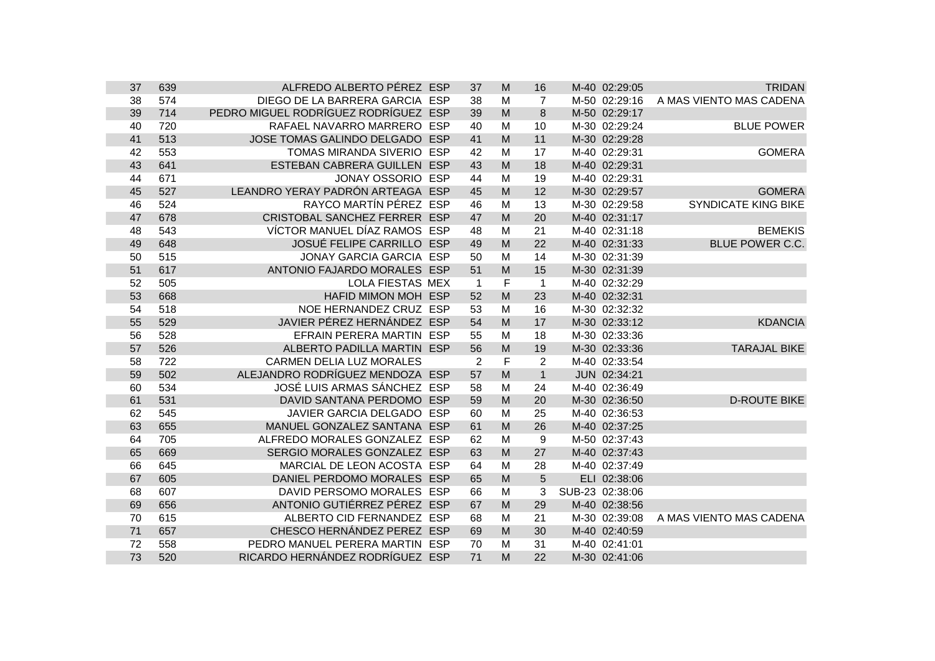| 37 | 639 | ALFREDO ALBERTO PÉREZ ESP            | 37             | M           | 16             | M-40 02:29:05   | <b>TRIDAN</b>              |
|----|-----|--------------------------------------|----------------|-------------|----------------|-----------------|----------------------------|
| 38 | 574 | DIEGO DE LA BARRERA GARCIA ESP       | 38             | M           | $\overline{7}$ | M-50 02:29:16   | A MAS VIENTO MAS CADENA    |
| 39 | 714 | PEDRO MIGUEL RODRÍGUEZ RODRÍGUEZ ESP | 39             | M           | 8              | M-50 02:29:17   |                            |
| 40 | 720 | RAFAEL NAVARRO MARRERO ESP           | 40             | M           | 10             | M-30 02:29:24   | <b>BLUE POWER</b>          |
| 41 | 513 | JOSE TOMAS GALINDO DELGADO ESP       | 41             | M           | 11             | M-30 02:29:28   |                            |
| 42 | 553 | TOMAS MIRANDA SIVERIO ESP            | 42             | M           | 17             | M-40 02:29:31   | <b>GOMERA</b>              |
| 43 | 641 | ESTEBAN CABRERA GUILLEN ESP          | 43             | M           | 18             | M-40 02:29:31   |                            |
| 44 | 671 | <b>JONAY OSSORIO ESP</b>             | 44             | M           | 19             | M-40 02:29:31   |                            |
| 45 | 527 | LEANDRO YERAY PADRÓN ARTEAGA ESP     | 45             | M           | 12             | M-30 02:29:57   | <b>GOMERA</b>              |
| 46 | 524 | RAYCO MARTÍN PÉREZ ESP               | 46             | M           | 13             | M-30 02:29:58   | <b>SYNDICATE KING BIKE</b> |
| 47 | 678 | CRISTOBAL SANCHEZ FERRER ESP         | 47             | M           | 20             | M-40 02:31:17   |                            |
| 48 | 543 | VÍCTOR MANUEL DÍAZ RAMOS ESP         | 48             | M           | 21             | M-40 02:31:18   | <b>BEMEKIS</b>             |
| 49 | 648 | <b>JOSUÉ FELIPE CARRILLO ESP</b>     | 49             | M           | 22             | M-40 02:31:33   | <b>BLUE POWER C.C.</b>     |
| 50 | 515 | <b>JONAY GARCIA GARCIA ESP</b>       | 50             | M           | 14             | M-30 02:31:39   |                            |
| 51 | 617 | ANTONIO FAJARDO MORALES ESP          | 51             | M           | 15             | M-30 02:31:39   |                            |
| 52 | 505 | <b>LOLA FIESTAS MEX</b>              | $\overline{1}$ | F           | $\mathbf{1}$   | M-40 02:32:29   |                            |
| 53 | 668 | HAFID MIMON MOH ESP                  | 52             | M           | 23             | M-40 02:32:31   |                            |
| 54 | 518 | NOE HERNANDEZ CRUZ ESP               | 53             | M           | 16             | M-30 02:32:32   |                            |
| 55 | 529 | JAVIER PÉREZ HERNÁNDEZ ESP           | 54             | M           | 17             | M-30 02:33:12   | <b>KDANCIA</b>             |
| 56 | 528 | EFRAIN PERERA MARTIN ESP             | 55             | M           | 18             | M-30 02:33:36   |                            |
| 57 | 526 | ALBERTO PADILLA MARTIN ESP           | 56             | M           | 19             | M-30 02:33:36   | <b>TARAJAL BIKE</b>        |
| 58 | 722 | <b>CARMEN DELIA LUZ MORALES</b>      | $\overline{2}$ | $\mathsf F$ | $\overline{2}$ | M-40 02:33:54   |                            |
| 59 | 502 | ALEJANDRO RODRÍGUEZ MENDOZA ESP      | 57             | M           | $\mathbf{1}$   | JUN 02:34:21    |                            |
| 60 | 534 | JOSÉ LUIS ARMAS SÁNCHEZ ESP          | 58             | M           | 24             | M-40 02:36:49   |                            |
| 61 | 531 | DAVID SANTANA PERDOMO ESP            | 59             | M           | 20             | M-30 02:36:50   | <b>D-ROUTE BIKE</b>        |
| 62 | 545 | JAVIER GARCIA DELGADO ESP            | 60             | M           | 25             | M-40 02:36:53   |                            |
| 63 | 655 | MANUEL GONZALEZ SANTANA ESP          | 61             | M           | 26             | M-40 02:37:25   |                            |
| 64 | 705 | ALFREDO MORALES GONZALEZ ESP         | 62             | M           | 9              | M-50 02:37:43   |                            |
| 65 | 669 | SERGIO MORALES GONZALEZ ESP          | 63             | M           | 27             | M-40 02:37:43   |                            |
| 66 | 645 | MARCIAL DE LEON ACOSTA ESP           | 64             | M           | 28             | M-40 02:37:49   |                            |
| 67 | 605 | DANIEL PERDOMO MORALES ESP           | 65             | M           | 5              | ELI 02:38:06    |                            |
| 68 | 607 | DAVID PERSOMO MORALES ESP            | 66             | M           | 3              | SUB-23 02:38:06 |                            |
| 69 | 656 | ANTONIO GUTIÉRREZ PÉREZ ESP          | 67             | M           | 29             | M-40 02:38:56   |                            |
| 70 | 615 | ALBERTO CID FERNANDEZ ESP            | 68             | M           | 21             | M-30 02:39:08   | A MAS VIENTO MAS CADENA    |
| 71 | 657 | CHESCO HERNÁNDEZ PEREZ ESP           | 69             | M           | 30             | M-40 02:40:59   |                            |
| 72 | 558 | PEDRO MANUEL PERERA MARTIN ESP       | 70             | M           | 31             | M-40 02:41:01   |                            |
| 73 | 520 | RICARDO HERNÁNDEZ RODRÍGUEZ ESP      | 71             | M           | 22             | M-30 02:41:06   |                            |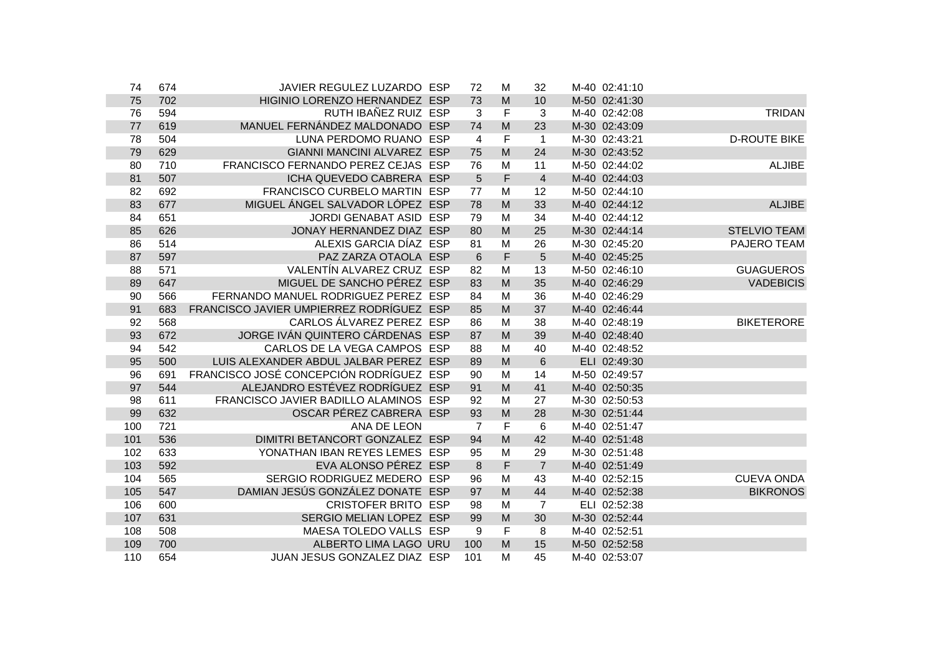| 74  | 674 | JAVIER REGULEZ LUZARDO ESP               | 72             | M                                                                                     | 32             | M-40 02:41:10 |                     |
|-----|-----|------------------------------------------|----------------|---------------------------------------------------------------------------------------|----------------|---------------|---------------------|
| 75  | 702 | HIGINIO LORENZO HERNANDEZ ESP            | 73             | $\mathsf{M}% _{T}=\mathsf{M}_{T}\!\left( a,b\right) ,\ \mathsf{M}_{T}=\mathsf{M}_{T}$ | 10             | M-50 02:41:30 |                     |
| 76  | 594 | RUTH IBAÑEZ RUIZ ESP                     | 3              | $\mathsf F$                                                                           | 3              | M-40 02:42:08 | <b>TRIDAN</b>       |
| 77  | 619 | MANUEL FERNÁNDEZ MALDONADO ESP           | 74             | $\mathsf{M}% _{T}=\mathsf{M}_{T}\!\left( a,b\right) ,\ \mathsf{M}_{T}=\mathsf{M}_{T}$ | 23             | M-30 02:43:09 |                     |
| 78  | 504 | LUNA PERDOMO RUANO ESP                   | $\overline{4}$ | $\mathsf F$                                                                           | $\overline{1}$ | M-30 02:43:21 | <b>D-ROUTE BIKE</b> |
| 79  | 629 | GIANNI MANCINI ALVAREZ ESP               | 75             | M                                                                                     | 24             | M-30 02:43:52 |                     |
| 80  | 710 | FRANCISCO FERNANDO PEREZ CEJAS ESP       | 76             | M                                                                                     | 11             | M-50 02:44:02 | <b>ALJIBE</b>       |
| 81  | 507 | ICHA QUEVEDO CABRERA ESP                 | 5              | F                                                                                     | $\overline{4}$ | M-40 02:44:03 |                     |
| 82  | 692 | FRANCISCO CURBELO MARTIN ESP             | 77             | M                                                                                     | 12             | M-50 02:44:10 |                     |
| 83  | 677 | MIGUEL ÁNGEL SALVADOR LÓPEZ ESP          | 78             | M                                                                                     | 33             | M-40 02:44:12 | <b>ALJIBE</b>       |
| 84  | 651 | JORDI GENABAT ASID ESP                   | 79             | M                                                                                     | 34             | M-40 02:44:12 |                     |
| 85  | 626 | JONAY HERNANDEZ DIAZ ESP                 | 80             | M                                                                                     | 25             | M-30 02:44:14 | <b>STELVIO TEAM</b> |
| 86  | 514 | ALEXIS GARCIA DÍAZ ESP                   | 81             | M                                                                                     | 26             | M-30 02:45:20 | PAJERO TEAM         |
| 87  | 597 | PAZ ZARZA OTAOLA ESP                     | 6              | $\mathsf F$                                                                           | 5              | M-40 02:45:25 |                     |
| 88  | 571 | VALENTÍN ALVAREZ CRUZ ESP                | 82             | M                                                                                     | 13             | M-50 02:46:10 | <b>GUAGUEROS</b>    |
| 89  | 647 | MIGUEL DE SANCHO PÉREZ ESP               | 83             | M                                                                                     | 35             | M-40 02:46:29 | <b>VADEBICIS</b>    |
| 90  | 566 | FERNANDO MANUEL RODRIGUEZ PEREZ ESP      | 84             | M                                                                                     | 36             | M-40 02:46:29 |                     |
| 91  | 683 | FRANCISCO JAVIER UMPIERREZ RODRÍGUEZ ESP | 85             | M                                                                                     | 37             | M-40 02:46:44 |                     |
| 92  | 568 | CARLOS ÁLVAREZ PEREZ ESP                 | 86             | M                                                                                     | 38             | M-40 02:48:19 | <b>BIKETERORE</b>   |
| 93  | 672 | JORGE IVÁN QUINTERO CÁRDENAS ESP         | 87             | M                                                                                     | 39             | M-40 02:48:40 |                     |
| 94  | 542 | CARLOS DE LA VEGA CAMPOS ESP             | 88             | M                                                                                     | 40             | M-40 02:48:52 |                     |
| 95  | 500 | LUIS ALEXANDER ABDUL JALBAR PEREZ ESP    | 89             | M                                                                                     | 6              | ELI 02:49:30  |                     |
| 96  | 691 | FRANCISCO JOSÉ CONCEPCIÓN RODRÍGUEZ ESP  | 90             | M                                                                                     | 14             | M-50 02:49:57 |                     |
| 97  | 544 | ALEJANDRO ESTÉVEZ RODRÍGUEZ ESP          | 91             | M                                                                                     | 41             | M-40 02:50:35 |                     |
| 98  | 611 | FRANCISCO JAVIER BADILLO ALAMINOS ESP    | 92             | M                                                                                     | 27             | M-30 02:50:53 |                     |
| 99  | 632 | OSCAR PÉREZ CABRERA ESP                  | 93             | M                                                                                     | 28             | M-30 02:51:44 |                     |
| 100 | 721 | ANA DE LEON                              | $\overline{7}$ | $\mathsf F$                                                                           | 6              | M-40 02:51:47 |                     |
| 101 | 536 | DIMITRI BETANCORT GONZALEZ ESP           | 94             | M                                                                                     | 42             | M-40 02:51:48 |                     |
| 102 | 633 | YONATHAN IBAN REYES LEMES ESP            | 95             | M                                                                                     | 29             | M-30 02:51:48 |                     |
| 103 | 592 | EVA ALONSO PÉREZ ESP                     | 8              | F                                                                                     | $\overline{7}$ | M-40 02:51:49 |                     |
| 104 | 565 | SERGIO RODRIGUEZ MEDERO ESP              | 96             | M                                                                                     | 43             | M-40 02:52:15 | <b>CUEVA ONDA</b>   |
| 105 | 547 | DAMIAN JESÚS GONZÁLEZ DONATE ESP         | 97             | M                                                                                     | 44             | M-40 02:52:38 | <b>BIKRONOS</b>     |
| 106 | 600 | <b>CRISTOFER BRITO ESP</b>               | 98             | M                                                                                     | $\overline{7}$ | ELI 02:52:38  |                     |
| 107 | 631 | SERGIO MELIAN LOPEZ ESP                  | 99             | M                                                                                     | 30             | M-30 02:52:44 |                     |
| 108 | 508 | MAESA TOLEDO VALLS ESP                   | 9              | $\mathsf F$                                                                           | 8              | M-40 02:52:51 |                     |
| 109 | 700 | ALBERTO LIMA LAGO URU                    | 100            | ${\sf M}$                                                                             | 15             | M-50 02:52:58 |                     |
| 110 | 654 | JUAN JESUS GONZALEZ DIAZ ESP             | 101            | M                                                                                     | 45             | M-40 02:53:07 |                     |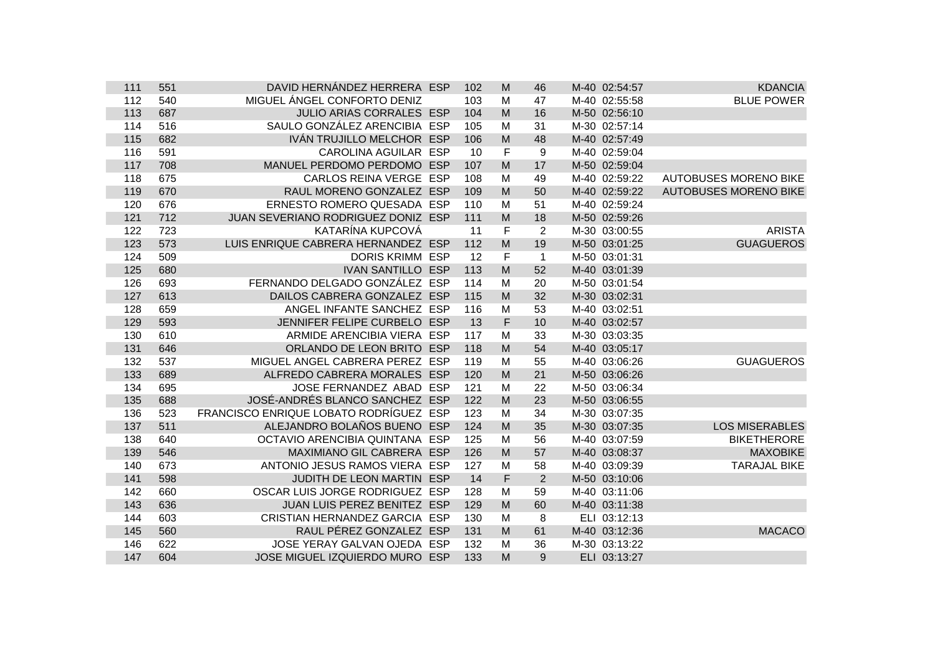| 111 | 551 | DAVID HERNÁNDEZ HERRERA ESP            | 102 | M           | 46             | M-40 02:54:57 | <b>KDANCIA</b>               |
|-----|-----|----------------------------------------|-----|-------------|----------------|---------------|------------------------------|
| 112 | 540 | MIGUEL ÁNGEL CONFORTO DENIZ            | 103 | M           | 47             | M-40 02:55:58 | <b>BLUE POWER</b>            |
| 113 | 687 | JULIO ARIAS CORRALES ESP               | 104 | M           | 16             | M-50 02:56:10 |                              |
| 114 | 516 | SAULO GONZÁLEZ ARENCIBIA ESP           | 105 | M           | 31             | M-30 02:57:14 |                              |
| 115 | 682 | IVÁN TRUJILLO MELCHOR ESP              | 106 | M           | 48             | M-40 02:57:49 |                              |
| 116 | 591 | CAROLINA AGUILAR ESP                   | 10  | F           | 9              | M-40 02:59:04 |                              |
| 117 | 708 | MANUEL PERDOMO PERDOMO ESP             | 107 | M           | 17             | M-50 02:59:04 |                              |
| 118 | 675 | CARLOS REINA VERGE ESP                 | 108 | M           | 49             | M-40 02:59:22 | <b>AUTOBUSES MORENO BIKE</b> |
| 119 | 670 | RAUL MORENO GONZALEZ ESP               | 109 | M           | 50             | M-40 02:59:22 | <b>AUTOBUSES MORENO BIKE</b> |
| 120 | 676 | ERNESTO ROMERO QUESADA ESP             | 110 | M           | 51             | M-40 02:59:24 |                              |
| 121 | 712 | JUAN SEVERIANO RODRIGUEZ DONIZ ESP     | 111 | M           | 18             | M-50 02:59:26 |                              |
| 122 | 723 | KATARÍNA KUPCOVÁ                       | 11  | F           | 2              | M-30 03:00:55 | <b>ARISTA</b>                |
| 123 | 573 | LUIS ENRIQUE CABRERA HERNANDEZ ESP     | 112 | M           | 19             | M-50 03:01:25 | <b>GUAGUEROS</b>             |
| 124 | 509 | <b>DORIS KRIMM ESP</b>                 | 12  | $\mathsf F$ | $\overline{1}$ | M-50 03:01:31 |                              |
| 125 | 680 | <b>IVAN SANTILLO ESP</b>               | 113 | M           | 52             | M-40 03:01:39 |                              |
| 126 | 693 | FERNANDO DELGADO GONZÁLEZ ESP          | 114 | M           | 20             | M-50 03:01:54 |                              |
| 127 | 613 | DAILOS CABRERA GONZALEZ ESP            | 115 | M           | 32             | M-30 03:02:31 |                              |
| 128 | 659 | ANGEL INFANTE SANCHEZ ESP              | 116 | M           | 53             | M-40 03:02:51 |                              |
| 129 | 593 | JENNIFER FELIPE CURBELO ESP            | 13  | F           | 10             | M-40 03:02:57 |                              |
| 130 | 610 | ARMIDE ARENCIBIA VIERA ESP             | 117 | M           | 33             | M-30 03:03:35 |                              |
| 131 | 646 | ORLANDO DE LEON BRITO ESP              | 118 | M           | 54             | M-40 03:05:17 |                              |
| 132 | 537 | MIGUEL ANGEL CABRERA PEREZ ESP         | 119 | M           | 55             | M-40 03:06:26 | <b>GUAGUEROS</b>             |
| 133 | 689 | ALFREDO CABRERA MORALES ESP            | 120 | M           | 21             | M-50 03:06:26 |                              |
| 134 | 695 | JOSE FERNANDEZ ABAD ESP                | 121 | M           | 22             | M-50 03:06:34 |                              |
| 135 | 688 | JOSÉ-ANDRÉS BLANCO SANCHEZ ESP         | 122 | M           | 23             | M-50 03:06:55 |                              |
| 136 | 523 | FRANCISCO ENRIQUE LOBATO RODRÍGUEZ ESP | 123 | M           | 34             | M-30 03:07:35 |                              |
| 137 | 511 | ALEJANDRO BOLAÑOS BUENO ESP            | 124 | M           | 35             | M-30 03:07:35 | <b>LOS MISERABLES</b>        |
| 138 | 640 | OCTAVIO ARENCIBIA QUINTANA ESP         | 125 | M           | 56             | M-40 03:07:59 | <b>BIKETHERORE</b>           |
| 139 | 546 | MAXIMIANO GIL CABRERA ESP              | 126 | M           | 57             | M-40 03:08:37 | <b>MAXOBIKE</b>              |
| 140 | 673 | ANTONIO JESUS RAMOS VIERA ESP          | 127 | M           | 58             | M-40 03:09:39 | <b>TARAJAL BIKE</b>          |
| 141 | 598 | JUDITH DE LEON MARTIN ESP              | 14  | $\mathsf F$ | 2              | M-50 03:10:06 |                              |
| 142 | 660 | OSCAR LUIS JORGE RODRIGUEZ ESP         | 128 | M           | 59             | M-40 03:11:06 |                              |
| 143 | 636 | JUAN LUIS PEREZ BENITEZ ESP            | 129 | M           | 60             | M-40 03:11:38 |                              |
| 144 | 603 | CRISTIAN HERNANDEZ GARCIA ESP          | 130 | M           | 8              | ELI 03:12:13  |                              |
| 145 | 560 | RAUL PÉREZ GONZALEZ ESP                | 131 | M           | 61             | M-40 03:12:36 | <b>MACACO</b>                |
| 146 | 622 | JOSE YERAY GALVAN OJEDA ESP            | 132 | M           | 36             | M-30 03:13:22 |                              |
| 147 | 604 | JOSE MIGUEL IZQUIERDO MURO ESP         | 133 | M           | 9              | ELI 03:13:27  |                              |